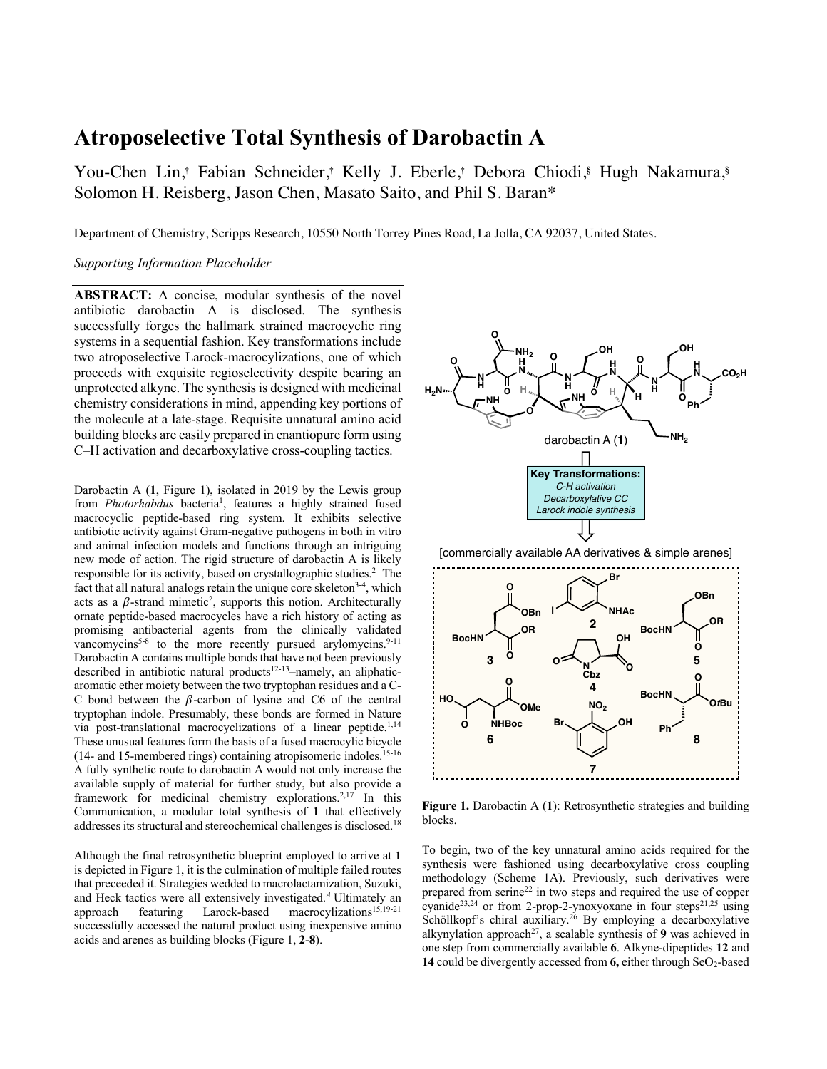# **Atroposelective Total Synthesis of Darobactin A**

You-Chen Lin,**†** Fabian Schneider,**†** Kelly J. Eberle,**†** Debora Chiodi,**§** Hugh Nakamura,**§** Solomon H. Reisberg, Jason Chen, Masato Saito, and Phil S. Baran\*

Department of Chemistry, Scripps Research, 10550 North Torrey Pines Road, La Jolla, CA 92037, United States.

#### *Supporting Information Placeholder*

**ABSTRACT:** A concise, modular synthesis of the novel antibiotic darobactin A is disclosed. The synthesis successfully forges the hallmark strained macrocyclic ring systems in a sequential fashion. Key transformations include two atroposelective Larock-macrocylizations, one of which proceeds with exquisite regioselectivity despite bearing an unprotected alkyne. The synthesis is designed with medicinal chemistry considerations in mind, appending key portions of the molecule at a late-stage. Requisite unnatural amino acid building blocks are easily prepared in enantiopure form using C–H activation and decarboxylative cross-coupling tactics.

Darobactin A (**1**, Figure 1), isolated in 2019 by the Lewis group from *Photorhabdus* bacteria<sup>1</sup>, features a highly strained fused macrocyclic peptide-based ring system. It exhibits selective antibiotic activity against Gram-negative pathogens in both in vitro and animal infection models and functions through an intriguing new mode of action. The rigid structure of darobactin A is likely responsible for its activity, based on crystallographic studies. 2 The fact that all natural analogs retain the unique core skeleton<sup>3-4</sup>, which acts as a  $\beta$ -strand mimetic<sup>2</sup>, supports this notion. Architecturally ornate peptide-based macrocycles have a rich history of acting as promising antibacterial agents from the clinically validated vancomycins<sup>5-8</sup> to the more recently pursued arylomycins.<sup>9-11</sup> Darobactin A contains multiple bonds that have not been previously described in antibiotic natural products<sup>12-13</sup>-namely, an aliphaticaromatic ether moiety between the two tryptophan residues and a C-C bond between the  $\beta$ -carbon of lysine and C6 of the central tryptophan indole. Presumably, these bonds are formed in Nature via post-translational macrocyclizations of a linear peptide.<sup>1,14</sup> These unusual features form the basis of a fused macrocylic bicycle  $(14-$  and 15-membered rings) containing atropisomeric indoles.<sup>15-16</sup> A fully synthetic route to darobactin A would not only increase the available supply of material for further study, but also provide a framework for medicinal chemistry explorations.<sup>2,17</sup> In this Communication, a modular total synthesis of **1** that effectively addresses its structural and stereochemical challenges is disclosed.<sup>18</sup>

Although the final retrosynthetic blueprint employed to arrive at **1** is depicted in Figure 1, it is the culmination of multiple failed routes that preceeded it. Strategies wedded to macrolactamization, Suzuki, and Heck tactics were all extensively investigated.*<sup>A</sup>* Ultimately an approach featuring Larock-based macrocylizations<sup>15,19-21</sup> successfully accessed the natural product using inexpensive amino acids and arenes as building blocks (Figure 1, **2**-**8**).



**Figure 1.** Darobactin A (**1**): Retrosynthetic strategies and building blocks.

To begin, two of the key unnatural amino acids required for the synthesis were fashioned using decarboxylative cross coupling methodology (Scheme 1A). Previously, such derivatives were prepared from serine22 in two steps and required the use of copper cyanide<sup>23,24</sup> or from 2-prop-2-ynoxyoxane in four steps<sup>21,25</sup> using Schöllkopf's chiral auxiliary.<sup>26</sup> By employing a decarboxylative alkynylation approach<sup>27</sup>, a scalable synthesis of 9 was achieved in one step from commercially available **6**. Alkyne-dipeptides **12** and **14** could be divergently accessed from **6**, either through SeO<sub>2</sub>-based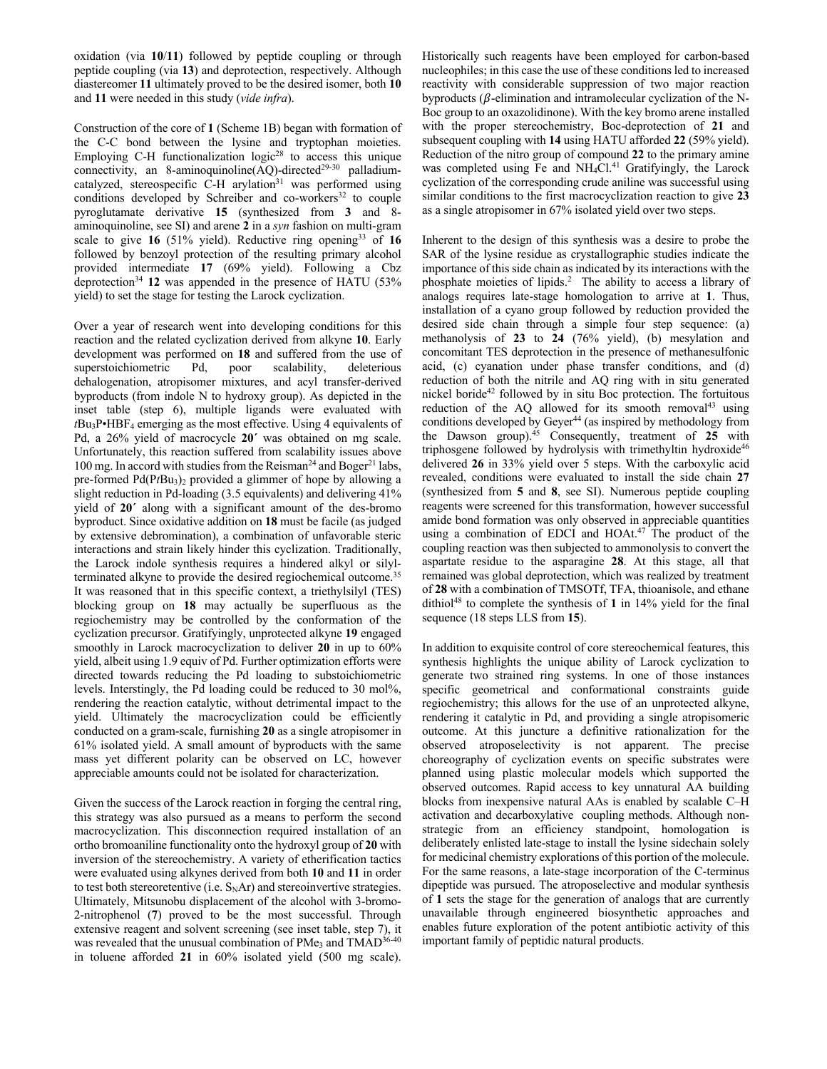oxidation (via **10**/**11**) followed by peptide coupling or through peptide coupling (via **13**) and deprotection, respectively. Although diastereomer **11** ultimately proved to be the desired isomer, both **10** and **11** were needed in this study (*vide infra*).

Construction of the core of **1** (Scheme 1B) began with formation of the C-C bond between the lysine and tryptophan moieties. Employing C-H functionalization  $logic^{28}$  to access this unique connectivity, an 8-aminoquinoline(AQ)-directed<sup>29-30</sup> palladiumcatalyzed, stereospecific C-H arylation<sup>31</sup> was performed using conditions developed by Schreiber and co-workers<sup>32</sup> to couple pyroglutamate derivative **15** (synthesized from **3** and 8 aminoquinoline, see SI) and arene **2** in a *syn* fashion on multi-gram scale to give **16** (51% yield). Reductive ring opening33 of **16** followed by benzoyl protection of the resulting primary alcohol provided intermediate **17** (69% yield). Following a Cbz deprotection34 **12** was appended in the presence of HATU (53% yield) to set the stage for testing the Larock cyclization.

Over a year of research went into developing conditions for this reaction and the related cyclization derived from alkyne **10**. Early development was performed on **18** and suffered from the use of superstoichiometric Pd, poor scalability, deleterious dehalogenation, atropisomer mixtures, and acyl transfer-derived byproducts (from indole N to hydroxy group). As depicted in the inset table (step 6), multiple ligands were evaluated with  $tBu_3P \cdot HBF_4$  emerging as the most effective. Using 4 equivalents of Pd, a 26% yield of macrocycle **20´** was obtained on mg scale. Unfortunately, this reaction suffered from scalability issues above 100 mg. In accord with studies from the Reisman<sup>24</sup> and Boger<sup>21</sup> labs, pre-formed Pd(PtBu<sub>3</sub>)<sub>2</sub> provided a glimmer of hope by allowing a slight reduction in Pd-loading (3.5 equivalents) and delivering 41% yield of **20´** along with a significant amount of the des-bromo byproduct. Since oxidative addition on **18** must be facile (as judged by extensive debromination), a combination of unfavorable steric interactions and strain likely hinder this cyclization. Traditionally, the Larock indole synthesis requires a hindered alkyl or silylterminated alkyne to provide the desired regiochemical outcome.<sup>35</sup> It was reasoned that in this specific context, a triethylsilyl (TES) blocking group on **18** may actually be superfluous as the regiochemistry may be controlled by the conformation of the cyclization precursor. Gratifyingly, unprotected alkyne **19** engaged smoothly in Larock macrocyclization to deliver **20** in up to 60% yield, albeit using 1.9 equiv of Pd. Further optimization efforts were directed towards reducing the Pd loading to substoichiometric levels. Interstingly, the Pd loading could be reduced to 30 mol%, rendering the reaction catalytic, without detrimental impact to the yield. Ultimately the macrocyclization could be efficiently conducted on a gram-scale, furnishing **20** as a single atropisomer in 61% isolated yield. A small amount of byproducts with the same mass yet different polarity can be observed on LC, however appreciable amounts could not be isolated for characterization.

Given the success of the Larock reaction in forging the central ring, this strategy was also pursued as a means to perform the second macrocyclization. This disconnection required installation of an ortho bromoaniline functionality onto the hydroxyl group of **20** with inversion of the stereochemistry. A variety of etherification tactics were evaluated using alkynes derived from both **10** and **11** in order to test both stereoretentive (i.e.  $S<sub>N</sub>Ar$ ) and stereoinvertive strategies. Ultimately, Mitsunobu displacement of the alcohol with 3-bromo-2-nitrophenol (**7**) proved to be the most successful. Through extensive reagent and solvent screening (see inset table, step 7), it was revealed that the unusual combination of PMe<sub>3</sub> and TMAD<sup>36-40</sup> in toluene afforded **21** in 60% isolated yield (500 mg scale).

Historically such reagents have been employed for carbon-based nucleophiles; in this case the use of these conditions led to increased reactivity with considerable suppression of two major reaction byproducts ( $\beta$ -elimination and intramolecular cyclization of the N-Boc group to an oxazolidinone). With the key bromo arene installed with the proper stereochemistry, Boc-deprotection of **21** and subsequent coupling with **14** using HATU afforded **22** (59% yield). Reduction of the nitro group of compound **22** to the primary amine was completed using Fe and NH<sub>4</sub>Cl.<sup>41</sup> Gratifyingly, the Larock cyclization of the corresponding crude aniline was successful using similar conditions to the first macrocyclization reaction to give **23** as a single atropisomer in 67% isolated yield over two steps.

Inherent to the design of this synthesis was a desire to probe the SAR of the lysine residue as crystallographic studies indicate the importance of this side chain as indicated by its interactions with the phosphate moieties of lipids.<sup>2</sup> The ability to access a library of analogs requires late-stage homologation to arrive at **1**. Thus, installation of a cyano group followed by reduction provided the desired side chain through a simple four step sequence: (a) methanolysis of **23** to **24** (76% yield), (b) mesylation and concomitant TES deprotection in the presence of methanesulfonic acid, (c) cyanation under phase transfer conditions, and (d) reduction of both the nitrile and AQ ring with in situ generated nickel boride<sup>42</sup> followed by in situ Boc protection. The fortuitous reduction of the AQ allowed for its smooth removal<sup>43</sup> using conditions developed by Geyer<sup>44</sup> (as inspired by methodology from the Dawson group). <sup>45</sup> Consequently, treatment of **25** with triphosgene followed by hydrolysis with trimethyltin hydroxide<sup>46</sup> delivered **26** in 33% yield over 5 steps. With the carboxylic acid revealed, conditions were evaluated to install the side chain **27** (synthesized from **5** and **8**, see SI). Numerous peptide coupling reagents were screened for this transformation, however successful amide bond formation was only observed in appreciable quantities using a combination of EDCI and HOAt. <sup>47</sup> The product of the coupling reaction was then subjected to ammonolysis to convert the aspartate residue to the asparagine **28**. At this stage, all that remained was global deprotection, which was realized by treatment of **28** with a combination of TMSOTf, TFA, thioanisole, and ethane dithiol48 to complete the synthesis of **1** in 14% yield for the final sequence (18 steps LLS from **15**).

In addition to exquisite control of core stereochemical features, this synthesis highlights the unique ability of Larock cyclization to generate two strained ring systems. In one of those instances specific geometrical and conformational constraints guide regiochemistry; this allows for the use of an unprotected alkyne, rendering it catalytic in Pd, and providing a single atropisomeric outcome. At this juncture a definitive rationalization for the observed atroposelectivity is not apparent. The precise choreography of cyclization events on specific substrates were planned using plastic molecular models which supported the observed outcomes. Rapid access to key unnatural AA building blocks from inexpensive natural AAs is enabled by scalable C–H activation and decarboxylative coupling methods. Although nonstrategic from an efficiency standpoint, homologation is deliberately enlisted late-stage to install the lysine sidechain solely for medicinal chemistry explorations of this portion of the molecule. For the same reasons, a late-stage incorporation of the C-terminus dipeptide was pursued. The atroposelective and modular synthesis of **1** sets the stage for the generation of analogs that are currently unavailable through engineered biosynthetic approaches and enables future exploration of the potent antibiotic activity of this important family of peptidic natural products.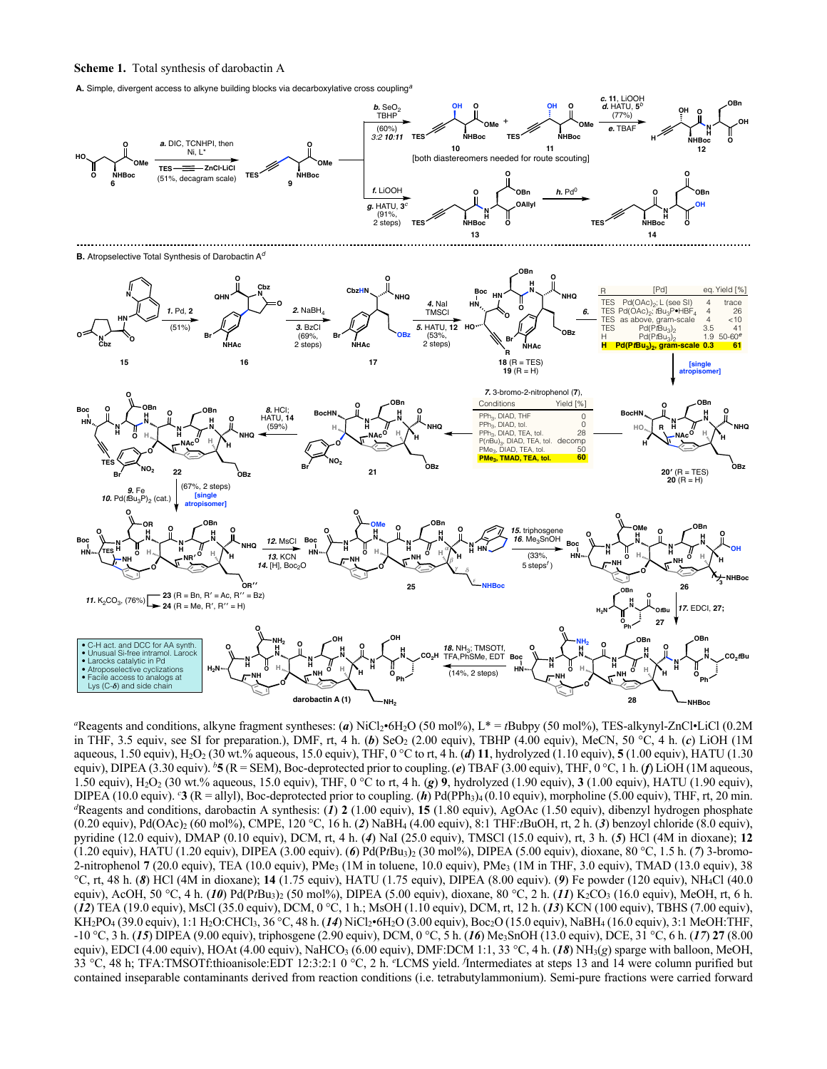#### **Scheme 1.** Total synthesis of darobactin A

**A.** Simple, divergent access to alkyne building blocks via decarboxylative cross coupling*<sup>a</sup>*



*a* Reagents and conditions, alkyne fragment syntheses: (*a*) NiCl2•6H2O (50 mol%), L\* = *t*Bubpy (50 mol%), TES-alkynyl-ZnCl•LiCl (0.2M in THF, 3.5 equiv, see SI for preparation.), DMF, rt, 4 h.  $(b)$  SeO<sub>2</sub> (2.00 equiv), TBHP (4.00 equiv), MeCN, 50 °C, 4 h.  $(c)$  LiOH (1M aqueous, 1.50 equiv), H<sub>2</sub>O<sub>2</sub> (30 wt.% aqueous, 15.0 equiv), THF, 0 °C to rt, 4 h. (*d*) 11, hydrolyzed (1.10 equiv), 5 (1.00 equiv), HATU (1.30 equiv), DIPEA (3.30 equiv). *<sup>b</sup>* **5** (R = SEM), Boc-deprotected prior to coupling.(*e*) TBAF (3.00 equiv), THF, 0 °C, 1 h. (*f*) LiOH (1M aqueous, 1.50 equiv), H2O2 (30 wt.% aqueous, 15.0 equiv), THF, 0 °C to rt, 4 h. (*g*) **9**, hydrolyzed (1.90 equiv), **3** (1.00 equiv), HATU (1.90 equiv), DIPEA (10.0 equiv). <sup>c</sup>3 (R = allyl), Boc-deprotected prior to coupling. (*h*) Pd(PPh<sub>3</sub>)<sub>4</sub> (0.10 equiv), morpholine (5.00 equiv), THF, rt, 20 min. *d* Reagents and conditions, darobactin A synthesis: (*1*) **2** (1.00 equiv), **15** (1.80 equiv), AgOAc (1.50 equiv), dibenzyl hydrogen phosphate (0.20 equiv), Pd(OAc)2 (60 mol%), CMPE, 120 °C, 16 h. (*2*) NaBH4 (4.00 equiv), 8:1 THF:*t*BuOH, rt, 2 h. (*3*) benzoyl chloride (8.0 equiv), pyridine (12.0 equiv), DMAP (0.10 equiv), DCM, rt, 4 h. (*4*) NaI (25.0 equiv), TMSCl (15.0 equiv), rt, 3 h. (*5*) HCl (4M in dioxane); **12** (1.20 equiv), HATU (1.20 equiv), DIPEA (3.00 equiv). (*6*) Pd(P*t*Bu3)2 (30 mol%), DIPEA (5.00 equiv), dioxane, 80 °C, 1.5 h. (*7*) 3-bromo-2-nitrophenol **7** (20.0 equiv), TEA (10.0 equiv), PMe<sub>3</sub> (1M in toluene, 10.0 equiv), PMe<sub>3</sub> (1M in THF, 3.0 equiv), TMAD (13.0 equiv), 38 °C, rt, 48 h. (*8*) HCl (4M in dioxane); **14** (1.75 equiv), HATU (1.75 equiv), DIPEA (8.00 equiv). (*9*) Fe powder (120 equiv), NH4Cl (40.0 equiv), AcOH, 50 °C, 4 h. (10) Pd(PtBu<sub>3</sub>)<sub>2</sub> (50 mol%), DIPEA (5.00 equiv), dioxane, 80 °C, 2 h. (11) K<sub>2</sub>CO<sub>3</sub> (16.0 equiv), MeOH, rt, 6 h. (*12*) TEA (19.0 equiv), MsCl (35.0 equiv), DCM, 0 °C, 1 h.; MsOH (1.10 equiv), DCM, rt, 12 h. (*13*) KCN (100 equiv), TBHS (7.00 equiv), KH2PO4 (39.0 equiv), 1:1 H2O:CHCl3, 36 °C, 48 h. (*14*) NiCl2•6H2O (3.00 equiv), Boc2O (15.0 equiv), NaBH4 (16.0 equiv), 3:1 MeOH:THF, -10 °C, 3 h. (*15*) DIPEA (9.00 equiv), triphosgene (2.90 equiv), DCM, 0 °C, 5 h. (*16*) Me3SnOH (13.0 equiv), DCE, 31 °C, 6 h. (*17*) **27** (8.00 equiv), EDCI (4.00 equiv), HOAt (4.00 equiv), NaHCO<sub>3</sub> (6.00 equiv), DMF:DCM 1:1, 33 °C, 4 h. (**18**) NH<sub>3</sub>(*g*) sparge with balloon, MeOH, 33 °C, 48 h; TFA:TMSOTf:thioanisole:EDT 12:3:2:1 0 °C, 2 h. *<sup>e</sup>* LCMS yield. *<sup>f</sup>* Intermediates at steps 13 and 14 were column purified but contained inseparable contaminants derived from reaction conditions (i.e. tetrabutylammonium). Semi-pure fractions were carried forward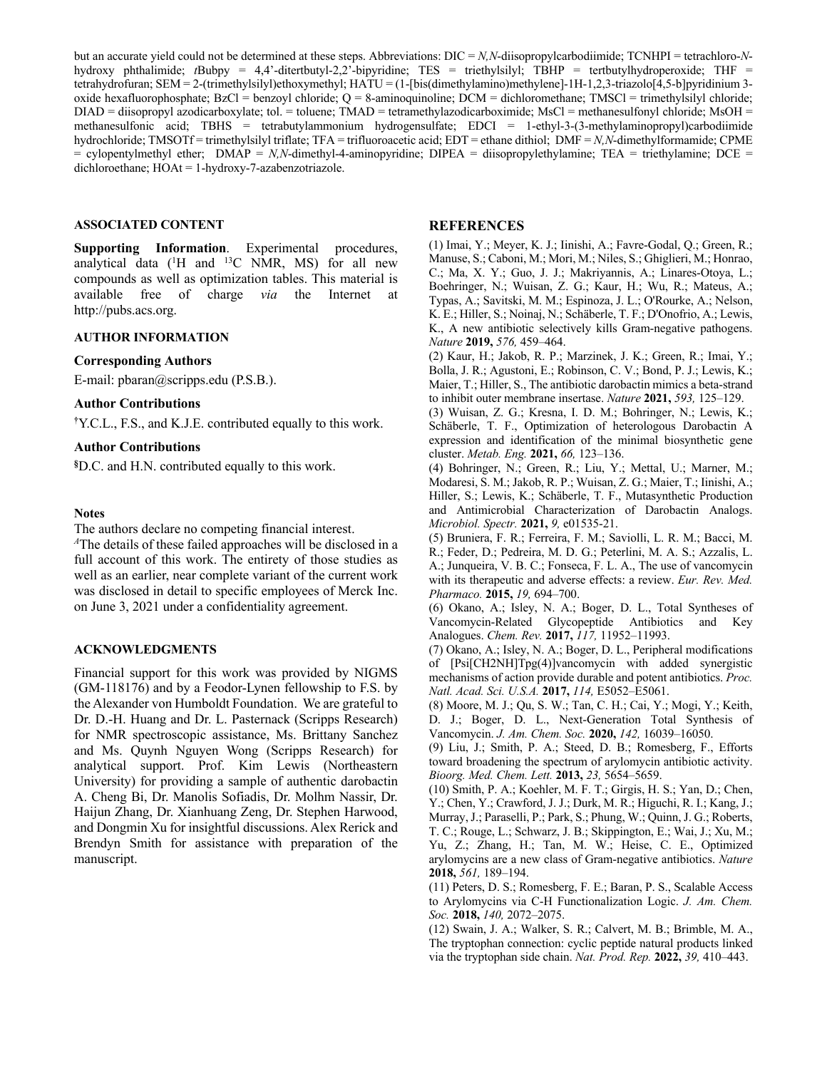but an accurate yield could not be determined at these steps. Abbreviations: DIC = *N,N*-diisopropylcarbodiimide; TCNHPI = tetrachloro-*N*hydroxy phthalimide; *t*Bubpy = 4,4'-ditertbutyl-2,2'-bipyridine; TES = triethylsilyl; TBHP = tertbutylhydroperoxide; THF = tetrahydrofuran; SEM = 2-(trimethylsilyl)ethoxymethyl; HATU = (1-[bis(dimethylamino)methylene]-1H-1,2,3-triazolo[4,5-b]pyridinium 3 oxide hexafluorophosphate; BzCl = benzoyl chloride; Q = 8-aminoquinoline; DCM = dichloromethane; TMSCl = trimethylsilyl chloride; DIAD = diisopropyl azodicarboxylate; tol. = toluene; TMAD = tetramethylazodicarboximide; MsCl = methanesulfonyl chloride; MsOH = methanesulfonic acid; TBHS = tetrabutylammonium hydrogensulfate; EDCI = 1-ethyl-3-(3-methylaminopropyl)carbodiimide hydrochloride; TMSOTf = trimethylsilyl triflate; TFA = trifluoroacetic acid; EDT = ethane dithiol; DMF = *N,N*-dimethylformamide; CPME = cylopentylmethyl ether; DMAP = *N,N*-dimethyl-4-aminopyridine; DIPEA = diisopropylethylamine; TEA = triethylamine; DCE = dichloroethane; HOAt = 1-hydroxy-7-azabenzotriazole.

#### **ASSOCIATED CONTENT**

**Supporting Information**. Experimental procedures, analytical data  $(^1H$  and  $^{13}C$  NMR, MS) for all new compounds as well as optimization tables. This material is available free of charge *via* the Internet at http://pubs.acs.org.

### **AUTHOR INFORMATION**

### **Corresponding Authors**

E-mail: pbaran@scripps.edu (P.S.B.).

### **Author Contributions**

**†** Y.C.L., F.S., and K.J.E. contributed equally to this work.

# **Author Contributions**

**§** D.C. and H.N. contributed equally to this work.

### **Notes**

The authors declare no competing financial interest.

*<sup>A</sup>*The details of these failed approaches will be disclosed in a full account of this work. The entirety of those studies as well as an earlier, near complete variant of the current work was disclosed in detail to specific employees of Merck Inc. on June 3, 2021 under a confidentiality agreement.

## **ACKNOWLEDGMENTS**

Financial support for this work was provided by NIGMS (GM-118176) and by a Feodor-Lynen fellowship to F.S. by the Alexander von Humboldt Foundation. We are grateful to Dr. D.-H. Huang and Dr. L. Pasternack (Scripps Research) for NMR spectroscopic assistance, Ms. Brittany Sanchez and Ms. Quynh Nguyen Wong (Scripps Research) for analytical support. Prof. Kim Lewis (Northeastern University) for providing a sample of authentic darobactin A. Cheng Bi, Dr. Manolis Sofiadis, Dr. Molhm Nassir, Dr. Haijun Zhang, Dr. Xianhuang Zeng, Dr. Stephen Harwood, and Dongmin Xu for insightful discussions. Alex Rerick and Brendyn Smith for assistance with preparation of the manuscript.

# **REFERENCES**

(1) Imai, Y.; Meyer, K. J.; Iinishi, A.; Favre-Godal, Q.; Green, R.; Manuse, S.; Caboni, M.; Mori, M.; Niles, S.; Ghiglieri, M.; Honrao, C.; Ma, X. Y.; Guo, J. J.; Makriyannis, A.; Linares-Otoya, L.; Boehringer, N.; Wuisan, Z. G.; Kaur, H.; Wu, R.; Mateus, A.; Typas, A.; Savitski, M. M.; Espinoza, J. L.; O'Rourke, A.; Nelson, K. E.; Hiller, S.; Noinaj, N.; Schäberle, T. F.; D'Onofrio, A.; Lewis, K., A new antibiotic selectively kills Gram-negative pathogens. *Nature* **2019,** *576,* 459–464.

(2) Kaur, H.; Jakob, R. P.; Marzinek, J. K.; Green, R.; Imai, Y.; Bolla, J. R.; Agustoni, E.; Robinson, C. V.; Bond, P. J.; Lewis, K.; Maier, T.; Hiller, S., The antibiotic darobactin mimics a beta-strand to inhibit outer membrane insertase. *Nature* **2021,** *593,* 125–129.

(3) Wuisan, Z. G.; Kresna, I. D. M.; Bohringer, N.; Lewis, K.; Schäberle, T. F., Optimization of heterologous Darobactin A expression and identification of the minimal biosynthetic gene cluster. *Metab. Eng.* **2021,** *66,* 123–136.

(4) Bohringer, N.; Green, R.; Liu, Y.; Mettal, U.; Marner, M.; Modaresi, S. M.; Jakob, R. P.; Wuisan, Z. G.; Maier, T.; Iinishi, A.; Hiller, S.; Lewis, K.; Schäberle, T. F., Mutasynthetic Production and Antimicrobial Characterization of Darobactin Analogs. *Microbiol. Spectr.* **2021,** *9,* e01535-21.

(5) Bruniera, F. R.; Ferreira, F. M.; Saviolli, L. R. M.; Bacci, M. R.; Feder, D.; Pedreira, M. D. G.; Peterlini, M. A. S.; Azzalis, L. A.; Junqueira, V. B. C.; Fonseca, F. L. A., The use of vancomycin with its therapeutic and adverse effects: a review. *Eur. Rev. Med. Pharmaco.* **2015,** *19,* 694–700.

(6) Okano, A.; Isley, N. A.; Boger, D. L., Total Syntheses of Vancomycin-Related Glycopeptide Antibiotics and Key Analogues. *Chem. Rev.* **2017,** *117,* 11952–11993.

(7) Okano, A.; Isley, N. A.; Boger, D. L., Peripheral modifications of [Psi[CH2NH]Tpg(4)]vancomycin with added synergistic mechanisms of action provide durable and potent antibiotics. *Proc. Natl. Acad. Sci. U.S.A.* **2017,** *114,* E5052–E5061.

(8) Moore, M. J.; Qu, S. W.; Tan, C. H.; Cai, Y.; Mogi, Y.; Keith, D. J.; Boger, D. L., Next-Generation Total Synthesis of Vancomycin. *J. Am. Chem. Soc.* **2020,** *142,* 16039–16050.

(9) Liu, J.; Smith, P. A.; Steed, D. B.; Romesberg, F., Efforts toward broadening the spectrum of arylomycin antibiotic activity. *Bioorg. Med. Chem. Lett.* **2013,** *23,* 5654–5659.

(10) Smith, P. A.; Koehler, M. F. T.; Girgis, H. S.; Yan, D.; Chen, Y.; Chen, Y.; Crawford, J. J.; Durk, M. R.; Higuchi, R. I.; Kang, J.; Murray, J.; Paraselli, P.; Park, S.; Phung, W.; Quinn, J. G.; Roberts, T. C.; Rouge, L.; Schwarz, J. B.; Skippington, E.; Wai, J.; Xu, M.; Yu, Z.; Zhang, H.; Tan, M. W.; Heise, C. E., Optimized arylomycins are a new class of Gram-negative antibiotics. *Nature*  **2018,** *561,* 189–194.

(11) Peters, D. S.; Romesberg, F. E.; Baran, P. S., Scalable Access to Arylomycins via C-H Functionalization Logic. *J. Am. Chem. Soc.* **2018,** *140,* 2072–2075.

(12) Swain, J. A.; Walker, S. R.; Calvert, M. B.; Brimble, M. A., The tryptophan connection: cyclic peptide natural products linked via the tryptophan side chain. *Nat. Prod. Rep.* **2022,** *39,* 410–443.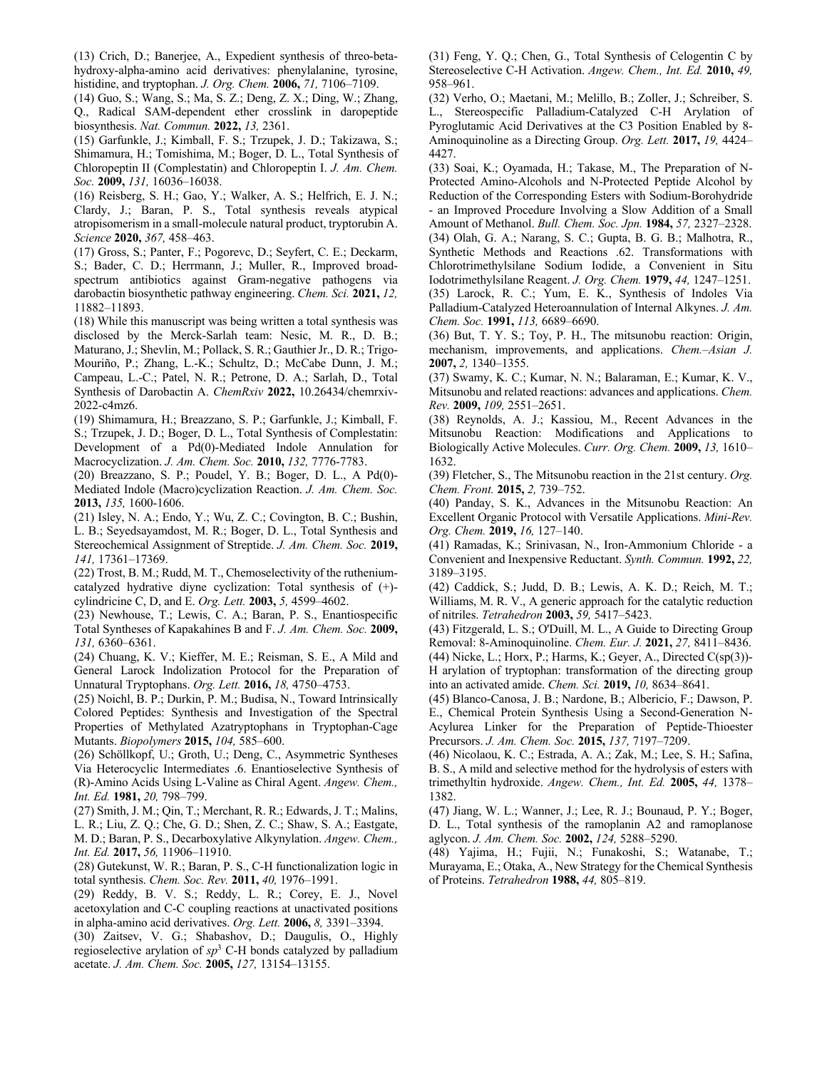(13) Crich, D.; Banerjee, A., Expedient synthesis of threo-betahydroxy-alpha-amino acid derivatives: phenylalanine, tyrosine, histidine, and tryptophan. *J. Org. Chem.* **2006,** *71,* 7106–7109.

(14) Guo, S.; Wang, S.; Ma, S. Z.; Deng, Z. X.; Ding, W.; Zhang, Q., Radical SAM-dependent ether crosslink in daropeptide biosynthesis. *Nat. Commun.* **2022,** *13,* 2361.

(15) Garfunkle, J.; Kimball, F. S.; Trzupek, J. D.; Takizawa, S.; Shimamura, H.; Tomishima, M.; Boger, D. L., Total Synthesis of Chloropeptin II (Complestatin) and Chloropeptin I. *J. Am. Chem. Soc.* **2009,** *131,* 16036–16038.

(16) Reisberg, S. H.; Gao, Y.; Walker, A. S.; Helfrich, E. J. N.; Clardy, J.; Baran, P. S., Total synthesis reveals atypical atropisomerism in a small-molecule natural product, tryptorubin A. *Science* **2020,** *367,* 458–463.

(17) Gross, S.; Panter, F.; Pogorevc, D.; Seyfert, C. E.; Deckarm, S.; Bader, C. D.; Herrmann, J.; Muller, R., Improved broadspectrum antibiotics against Gram-negative pathogens via darobactin biosynthetic pathway engineering. *Chem. Sci.* **2021,** *12,*  11882–11893.

(18) While this manuscript was being written a total synthesis was disclosed by the Merck-Sarlah team: Nesic, M. R., D. B.; Maturano, J.; Shevlin, M.; Pollack, S. R.; Gauthier Jr., D. R.; Trigo-Mouriño, P.; Zhang, L.-K.; Schultz, D.; McCabe Dunn, J. M.; Campeau, L.-C.; Patel, N. R.; Petrone, D. A.; Sarlah, D., Total Synthesis of Darobactin A. *ChemRxiv* **2022,** 10.26434/chemrxiv-2022-c4mz6.

(19) Shimamura, H.; Breazzano, S. P.; Garfunkle, J.; Kimball, F. S.; Trzupek, J. D.; Boger, D. L., Total Synthesis of Complestatin: Development of a Pd(0)-Mediated Indole Annulation for Macrocyclization. *J. Am. Chem. Soc.* **2010,** *132,* 7776-7783.

(20) Breazzano, S. P.; Poudel, Y. B.; Boger, D. L., A Pd(0)- Mediated Indole (Macro)cyclization Reaction. *J. Am. Chem. Soc.*  **2013,** *135,* 1600-1606.

(21) Isley, N. A.; Endo, Y.; Wu, Z. C.; Covington, B. C.; Bushin, L. B.; Seyedsayamdost, M. R.; Boger, D. L., Total Synthesis and Stereochemical Assignment of Streptide. *J. Am. Chem. Soc.* **2019,** *141,* 17361–17369.

(22) Trost, B. M.; Rudd, M. T., Chemoselectivity of the rutheniumcatalyzed hydrative diyne cyclization: Total synthesis of (+) cylindricine C, D, and E. *Org. Lett.* **2003,** *5,* 4599–4602.

(23) Newhouse, T.; Lewis, C. A.; Baran, P. S., Enantiospecific Total Syntheses of Kapakahines B and F. *J. Am. Chem. Soc.* **2009,** *131,* 6360–6361.

(24) Chuang, K. V.; Kieffer, M. E.; Reisman, S. E., A Mild and General Larock Indolization Protocol for the Preparation of Unnatural Tryptophans. *Org. Lett.* **2016,** *18,* 4750–4753.

(25) Noichl, B. P.; Durkin, P. M.; Budisa, N., Toward Intrinsically Colored Peptides: Synthesis and Investigation of the Spectral Properties of Methylated Azatryptophans in Tryptophan-Cage Mutants. *Biopolymers* **2015,** *104,* 585–600.

(26) Schöllkopf, U.; Groth, U.; Deng, C., Asymmetric Syntheses Via Heterocyclic Intermediates .6. Enantioselective Synthesis of (R)-Amino Acids Using L-Valine as Chiral Agent. *Angew. Chem., Int. Ed.* **1981,** *20,* 798–799.

(27) Smith, J. M.; Qin, T.; Merchant, R. R.; Edwards, J. T.; Malins, L. R.; Liu, Z. Q.; Che, G. D.; Shen, Z. C.; Shaw, S. A.; Eastgate, M. D.; Baran, P. S., Decarboxylative Alkynylation. *Angew. Chem., Int. Ed.* **2017,** *56,* 11906–11910.

(28) Gutekunst, W. R.; Baran, P. S., C-H functionalization logic in total synthesis. *Chem. Soc. Rev.* **2011,** *40,* 1976–1991.

(29) Reddy, B. V. S.; Reddy, L. R.; Corey, E. J., Novel acetoxylation and C-C coupling reactions at unactivated positions in alpha-amino acid derivatives. *Org. Lett.* **2006,** *8,* 3391–3394.

(30) Zaitsev, V. G.; Shabashov, D.; Daugulis, O., Highly regioselective arylation of *sp*<sup>3</sup> C-H bonds catalyzed by palladium acetate. *J. Am. Chem. Soc.* **2005,** *127,* 13154–13155.

(31) Feng, Y. Q.; Chen, G., Total Synthesis of Celogentin C by Stereoselective C-H Activation. *Angew. Chem., Int. Ed.* **2010,** *49,*  958–961.

(32) Verho, O.; Maetani, M.; Melillo, B.; Zoller, J.; Schreiber, S. L., Stereospecific Palladium-Catalyzed C-H Arylation of Pyroglutamic Acid Derivatives at the C3 Position Enabled by 8- Aminoquinoline as a Directing Group. *Org. Lett.* **2017,** *19,* 4424– 4427.

(33) Soai, K.; Oyamada, H.; Takase, M., The Preparation of N-Protected Amino-Alcohols and N-Protected Peptide Alcohol by Reduction of the Corresponding Esters with Sodium-Borohydride - an Improved Procedure Involving a Slow Addition of a Small Amount of Methanol. *Bull. Chem. Soc. Jpn.* **1984,** *57,* 2327–2328. (34) Olah, G. A.; Narang, S. C.; Gupta, B. G. B.; Malhotra, R., Synthetic Methods and Reactions .62. Transformations with Chlorotrimethylsilane Sodium Iodide, a Convenient in Situ Iodotrimethylsilane Reagent. *J. Org. Chem.* **1979,** *44,* 1247–1251. (35) Larock, R. C.; Yum, E. K., Synthesis of Indoles Via Palladium-Catalyzed Heteroannulation of Internal Alkynes. *J. Am. Chem. Soc.* **1991,** *113,* 6689–6690.

(36) But, T. Y. S.; Toy, P. H., The mitsunobu reaction: Origin, mechanism, improvements, and applications. *Chem.–Asian J.*  **2007,** *2,* 1340–1355.

(37) Swamy, K. C.; Kumar, N. N.; Balaraman, E.; Kumar, K. V., Mitsunobu and related reactions: advances and applications. *Chem. Rev.* **2009,** *109,* 2551–2651.

(38) Reynolds, A. J.; Kassiou, M., Recent Advances in the Mitsunobu Reaction: Modifications and Applications to Biologically Active Molecules. *Curr. Org. Chem.* **2009,** *13,* 1610– 1632.

(39) Fletcher, S., The Mitsunobu reaction in the 21st century. *Org. Chem. Front.* **2015,** *2,* 739–752.

(40) Panday, S. K., Advances in the Mitsunobu Reaction: An Excellent Organic Protocol with Versatile Applications. *Mini-Rev. Org. Chem.* **2019,** *16,* 127–140.

(41) Ramadas, K.; Srinivasan, N., Iron-Ammonium Chloride - a Convenient and Inexpensive Reductant. *Synth. Commun.* **1992,** *22,*  3189–3195.

(42) Caddick, S.; Judd, D. B.; Lewis, A. K. D.; Reich, M. T.; Williams, M. R. V., A generic approach for the catalytic reduction of nitriles. *Tetrahedron* **2003,** *59,* 5417–5423.

(43) Fitzgerald, L. S.; O'Duill, M. L., A Guide to Directing Group Removal: 8-Aminoquinoline. *Chem. Eur. J.* **2021,** *27,* 8411–8436. (44) Nicke, L.; Horx, P.; Harms, K.; Geyer, A., Directed C(sp(3))- H arylation of tryptophan: transformation of the directing group into an activated amide. *Chem. Sci.* **2019,** *10,* 8634–8641.

(45) Blanco-Canosa, J. B.; Nardone, B.; Albericio, F.; Dawson, P. E., Chemical Protein Synthesis Using a Second-Generation N-Acylurea Linker for the Preparation of Peptide-Thioester Precursors. *J. Am. Chem. Soc.* **2015,** *137,* 7197–7209.

(46) Nicolaou, K. C.; Estrada, A. A.; Zak, M.; Lee, S. H.; Safina, B. S., A mild and selective method for the hydrolysis of esters with trimethyltin hydroxide. *Angew. Chem., Int. Ed.* **2005,** *44,* 1378– 1382.

(47) Jiang, W. L.; Wanner, J.; Lee, R. J.; Bounaud, P. Y.; Boger, D. L., Total synthesis of the ramoplanin A2 and ramoplanose aglycon. *J. Am. Chem. Soc.* **2002,** *124,* 5288–5290.

(48) Yajima, H.; Fujii, N.; Funakoshi, S.; Watanabe, T.; Murayama, E.; Otaka, A., New Strategy for the Chemical Synthesis of Proteins. *Tetrahedron* **1988,** *44,* 805–819.